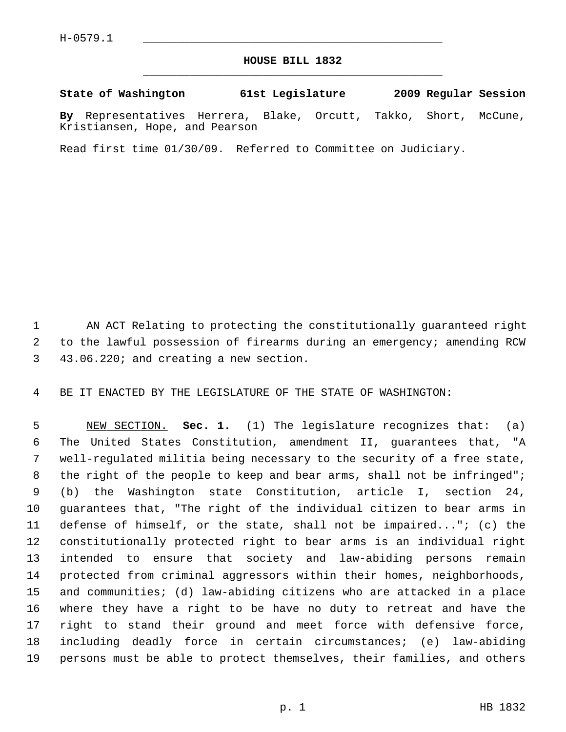## **HOUSE BILL 1832** \_\_\_\_\_\_\_\_\_\_\_\_\_\_\_\_\_\_\_\_\_\_\_\_\_\_\_\_\_\_\_\_\_\_\_\_\_\_\_\_\_\_\_\_\_

## **State of Washington 61st Legislature 2009 Regular Session**

**By** Representatives Herrera, Blake, Orcutt, Takko, Short, McCune, Kristiansen, Hope, and Pearson

Read first time 01/30/09. Referred to Committee on Judiciary.

 1 AN ACT Relating to protecting the constitutionally guaranteed right 2 to the lawful possession of firearms during an emergency; amending RCW 3 43.06.220; and creating a new section.

4 BE IT ENACTED BY THE LEGISLATURE OF THE STATE OF WASHINGTON:

 5 NEW SECTION. **Sec. 1.** (1) The legislature recognizes that: (a) 6 The United States Constitution, amendment II, guarantees that, "A 7 well-regulated militia being necessary to the security of a free state, 8 the right of the people to keep and bear arms, shall not be infringed"; 9 (b) the Washington state Constitution, article I, section 24, 10 guarantees that, "The right of the individual citizen to bear arms in 11 defense of himself, or the state, shall not be impaired..."; (c) the 12 constitutionally protected right to bear arms is an individual right 13 intended to ensure that society and law-abiding persons remain 14 protected from criminal aggressors within their homes, neighborhoods, 15 and communities; (d) law-abiding citizens who are attacked in a place 16 where they have a right to be have no duty to retreat and have the 17 right to stand their ground and meet force with defensive force, 18 including deadly force in certain circumstances; (e) law-abiding 19 persons must be able to protect themselves, their families, and others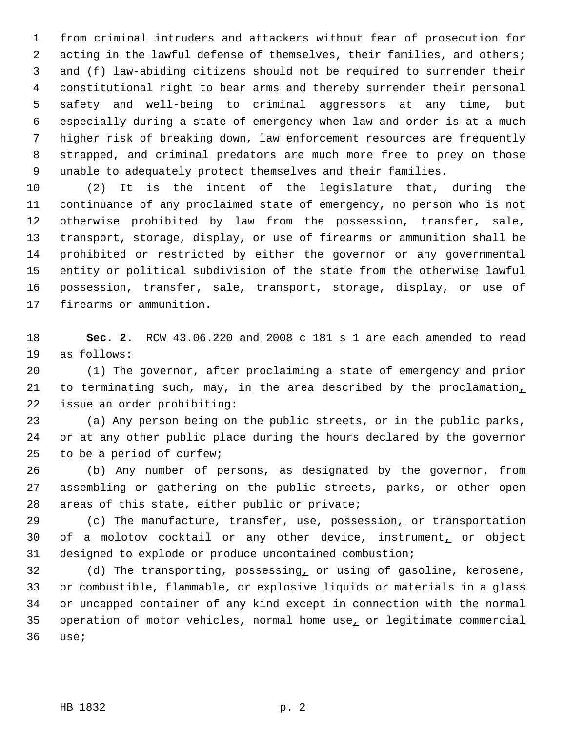1 from criminal intruders and attackers without fear of prosecution for 2 acting in the lawful defense of themselves, their families, and others; 3 and (f) law-abiding citizens should not be required to surrender their 4 constitutional right to bear arms and thereby surrender their personal 5 safety and well-being to criminal aggressors at any time, but 6 especially during a state of emergency when law and order is at a much 7 higher risk of breaking down, law enforcement resources are frequently 8 strapped, and criminal predators are much more free to prey on those 9 unable to adequately protect themselves and their families.

10 (2) It is the intent of the legislature that, during the 11 continuance of any proclaimed state of emergency, no person who is not 12 otherwise prohibited by law from the possession, transfer, sale, 13 transport, storage, display, or use of firearms or ammunition shall be 14 prohibited or restricted by either the governor or any governmental 15 entity or political subdivision of the state from the otherwise lawful 16 possession, transfer, sale, transport, storage, display, or use of 17 firearms or ammunition.

18 **Sec. 2.** RCW 43.06.220 and 2008 c 181 s 1 are each amended to read 19 as follows:

20 (1) The governor, after proclaiming a state of emergency and prior 21 to terminating such, may, in the area described by the proclamation, 22 issue an order prohibiting:

23 (a) Any person being on the public streets, or in the public parks, 24 or at any other public place during the hours declared by the governor 25 to be a period of curfew;

26 (b) Any number of persons, as designated by the governor, from 27 assembling or gathering on the public streets, parks, or other open 28 areas of this state, either public or private;

29 (c) The manufacture, transfer, use, possession, or transportation 30 of a molotov cocktail or any other device, instrument<sub>1</sub> or object 31 designed to explode or produce uncontained combustion;

32 (d) The transporting, possessing, or using of gasoline, kerosene, 33 or combustible, flammable, or explosive liquids or materials in a glass 34 or uncapped container of any kind except in connection with the normal 35 operation of motor vehicles, normal home use, or legitimate commercial 36 use;